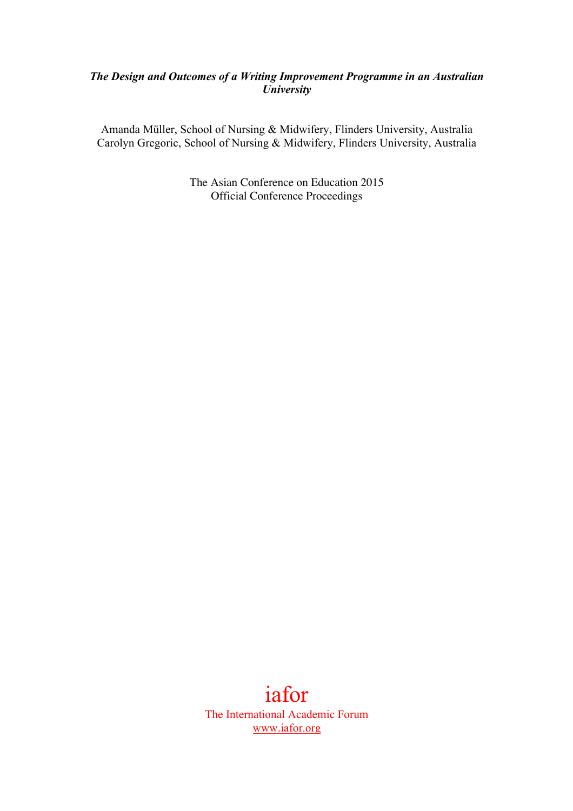## *The Design and Outcomes of a Writing Improvement Programme in an Australian University*

Amanda Müller, School of Nursing & Midwifery, Flinders University, Australia Carolyn Gregoric, School of Nursing & Midwifery, Flinders University, Australia

> The Asian Conference on Education 2015 Official Conference Proceedings

# iafor The International Academic Forum www.iafor.org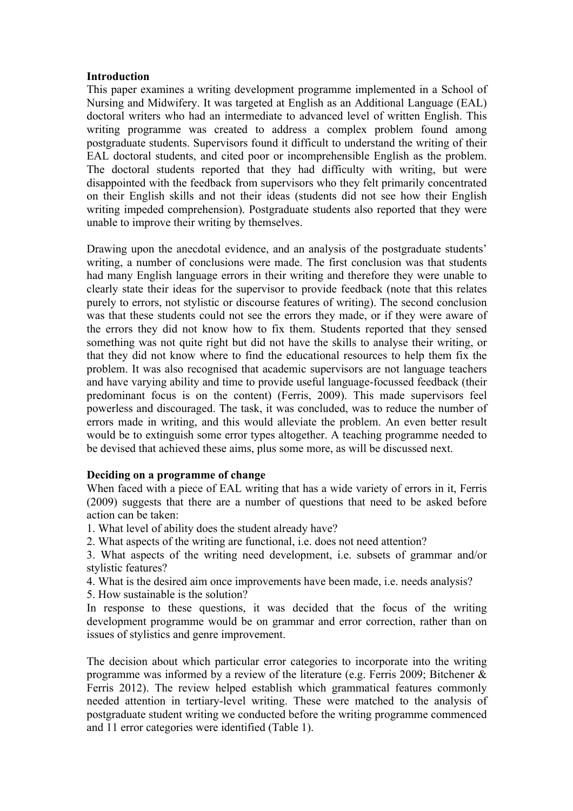#### **Introduction**

This paper examines a writing development programme implemented in a School of Nursing and Midwifery. It was targeted at English as an Additional Language (EAL) doctoral writers who had an intermediate to advanced level of written English. This writing programme was created to address a complex problem found among postgraduate students. Supervisors found it difficult to understand the writing of their EAL doctoral students, and cited poor or incomprehensible English as the problem. The doctoral students reported that they had difficulty with writing, but were disappointed with the feedback from supervisors who they felt primarily concentrated on their English skills and not their ideas (students did not see how their English writing impeded comprehension). Postgraduate students also reported that they were unable to improve their writing by themselves.

Drawing upon the anecdotal evidence, and an analysis of the postgraduate students' writing, a number of conclusions were made. The first conclusion was that students had many English language errors in their writing and therefore they were unable to clearly state their ideas for the supervisor to provide feedback (note that this relates purely to errors, not stylistic or discourse features of writing). The second conclusion was that these students could not see the errors they made, or if they were aware of the errors they did not know how to fix them. Students reported that they sensed something was not quite right but did not have the skills to analyse their writing, or that they did not know where to find the educational resources to help them fix the problem. It was also recognised that academic supervisors are not language teachers and have varying ability and time to provide useful language-focussed feedback (their predominant focus is on the content) (Ferris, 2009). This made supervisors feel powerless and discouraged. The task, it was concluded, was to reduce the number of errors made in writing, and this would alleviate the problem. An even better result would be to extinguish some error types altogether. A teaching programme needed to be devised that achieved these aims, plus some more, as will be discussed next.

## **Deciding on a programme of change**

When faced with a piece of EAL writing that has a wide variety of errors in it, Ferris (2009) suggests that there are a number of questions that need to be asked before action can be taken:

- 1. What level of ability does the student already have?
- 2. What aspects of the writing are functional, i.e. does not need attention?
- 3. What aspects of the writing need development, i.e. subsets of grammar and/or stylistic features?
- 4. What is the desired aim once improvements have been made, i.e. needs analysis?
- 5. How sustainable is the solution?

In response to these questions, it was decided that the focus of the writing development programme would be on grammar and error correction, rather than on issues of stylistics and genre improvement.

The decision about which particular error categories to incorporate into the writing programme was informed by a review of the literature (e.g. Ferris 2009; Bitchener & Ferris 2012). The review helped establish which grammatical features commonly needed attention in tertiary-level writing. These were matched to the analysis of postgraduate student writing we conducted before the writing programme commenced and 11 error categories were identified (Table 1).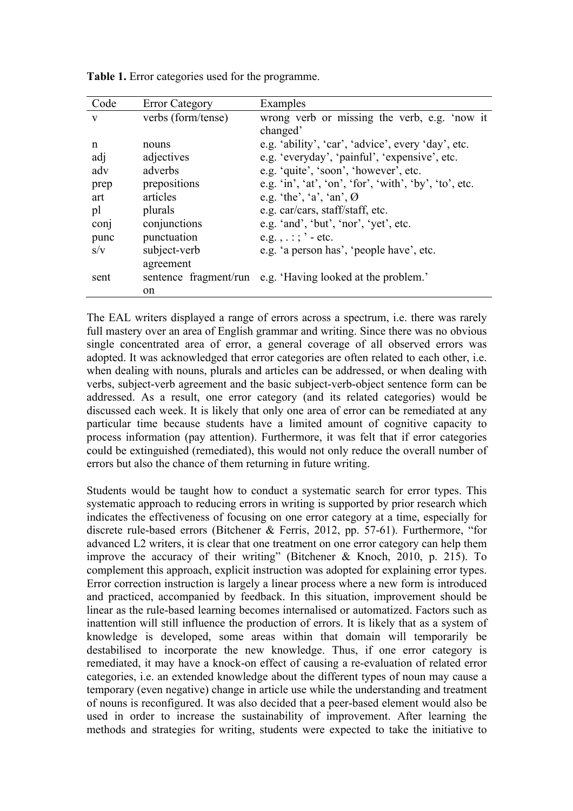| Code | <b>Error Category</b> | Examples                                                                                                                                                                                                                                                                                                                                                  |
|------|-----------------------|-----------------------------------------------------------------------------------------------------------------------------------------------------------------------------------------------------------------------------------------------------------------------------------------------------------------------------------------------------------|
| V    | verbs (form/tense)    | wrong verb or missing the verb, e.g. 'now it                                                                                                                                                                                                                                                                                                              |
|      |                       | changed'                                                                                                                                                                                                                                                                                                                                                  |
| n    | nouns                 | e.g. 'ability', 'car', 'advice', every 'day', etc.                                                                                                                                                                                                                                                                                                        |
| adj  | adjectives            | e.g. 'everyday', 'painful', 'expensive', etc.                                                                                                                                                                                                                                                                                                             |
| adv  | adverbs               | e.g. 'quite', 'soon', 'however', etc.                                                                                                                                                                                                                                                                                                                     |
| prep | prepositions          | e.g. $\infty$ , $\infty$ , $\infty$ , $\infty$ , $\infty$ , $\infty$ , $\infty$ , $\infty$ , $\infty$ , $\infty$ , $\infty$ , $\infty$ , $\infty$ , $\infty$ , $\infty$ , $\infty$ , $\infty$ , $\infty$ , $\infty$ , $\infty$ , $\infty$ , $\infty$ , $\infty$ , $\infty$ , $\infty$ , $\infty$ , $\infty$ , $\infty$ , $\infty$ , $\infty$ , $\infty$ , |
| art  | articles              | e.g. 'the', 'a', 'an', $\emptyset$                                                                                                                                                                                                                                                                                                                        |
| pl   | plurals               | e.g. car/cars, staff/staff, etc.                                                                                                                                                                                                                                                                                                                          |
| conj | conjunctions          | e.g. 'and', 'but', 'nor', 'yet', etc.                                                                                                                                                                                                                                                                                                                     |
| punc | punctuation           | e.g., $\therefore$ $\therefore$ - etc.                                                                                                                                                                                                                                                                                                                    |
| S/V  | subject-verb          | e.g. 'a person has', 'people have', etc.                                                                                                                                                                                                                                                                                                                  |
|      | agreement             |                                                                                                                                                                                                                                                                                                                                                           |
| sent |                       | sentence fragment/run e.g. 'Having looked at the problem.'                                                                                                                                                                                                                                                                                                |
|      | on                    |                                                                                                                                                                                                                                                                                                                                                           |

**Table 1.** Error categories used for the programme.

The EAL writers displayed a range of errors across a spectrum, i.e. there was rarely full mastery over an area of English grammar and writing. Since there was no obvious single concentrated area of error, a general coverage of all observed errors was adopted. It was acknowledged that error categories are often related to each other, i.e. when dealing with nouns, plurals and articles can be addressed, or when dealing with verbs, subject-verb agreement and the basic subject-verb-object sentence form can be addressed. As a result, one error category (and its related categories) would be discussed each week. It is likely that only one area of error can be remediated at any particular time because students have a limited amount of cognitive capacity to process information (pay attention). Furthermore, it was felt that if error categories could be extinguished (remediated), this would not only reduce the overall number of errors but also the chance of them returning in future writing.

Students would be taught how to conduct a systematic search for error types. This systematic approach to reducing errors in writing is supported by prior research which indicates the effectiveness of focusing on one error category at a time, especially for discrete rule-based errors (Bitchener & Ferris, 2012, pp. 57-61). Furthermore, "for advanced L2 writers, it is clear that one treatment on one error category can help them improve the accuracy of their writing" (Bitchener & Knoch, 2010, p. 215). To complement this approach, explicit instruction was adopted for explaining error types. Error correction instruction is largely a linear process where a new form is introduced and practiced, accompanied by feedback. In this situation, improvement should be linear as the rule-based learning becomes internalised or automatized. Factors such as inattention will still influence the production of errors. It is likely that as a system of knowledge is developed, some areas within that domain will temporarily be destabilised to incorporate the new knowledge. Thus, if one error category is remediated, it may have a knock-on effect of causing a re-evaluation of related error categories, i.e. an extended knowledge about the different types of noun may cause a temporary (even negative) change in article use while the understanding and treatment of nouns is reconfigured. It was also decided that a peer-based element would also be used in order to increase the sustainability of improvement. After learning the methods and strategies for writing, students were expected to take the initiative to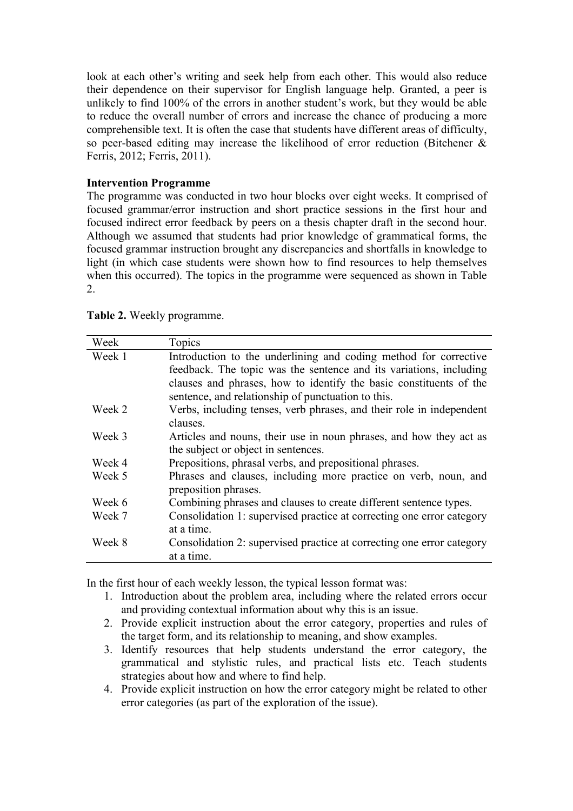look at each other's writing and seek help from each other. This would also reduce their dependence on their supervisor for English language help. Granted, a peer is unlikely to find 100% of the errors in another student's work, but they would be able to reduce the overall number of errors and increase the chance of producing a more comprehensible text. It is often the case that students have different areas of difficulty, so peer-based editing may increase the likelihood of error reduction (Bitchener & Ferris, 2012; Ferris, 2011).

## **Intervention Programme**

The programme was conducted in two hour blocks over eight weeks. It comprised of focused grammar/error instruction and short practice sessions in the first hour and focused indirect error feedback by peers on a thesis chapter draft in the second hour. Although we assumed that students had prior knowledge of grammatical forms, the focused grammar instruction brought any discrepancies and shortfalls in knowledge to light (in which case students were shown how to find resources to help themselves when this occurred). The topics in the programme were sequenced as shown in Table 2.

| Week   | Topics                                                                |  |
|--------|-----------------------------------------------------------------------|--|
| Week 1 | Introduction to the underlining and coding method for corrective      |  |
|        | feedback. The topic was the sentence and its variations, including    |  |
|        | clauses and phrases, how to identify the basic constituents of the    |  |
|        | sentence, and relationship of punctuation to this.                    |  |
| Week 2 | Verbs, including tenses, verb phrases, and their role in independent  |  |
|        | clauses.                                                              |  |
| Week 3 | Articles and nouns, their use in noun phrases, and how they act as    |  |
|        | the subject or object in sentences.                                   |  |
| Week 4 | Prepositions, phrasal verbs, and prepositional phrases.               |  |
| Week 5 | Phrases and clauses, including more practice on verb, noun, and       |  |
|        | preposition phrases.                                                  |  |
| Week 6 | Combining phrases and clauses to create different sentence types.     |  |
| Week 7 | Consolidation 1: supervised practice at correcting one error category |  |
|        | at a time.                                                            |  |
| Week 8 | Consolidation 2: supervised practice at correcting one error category |  |
|        | at a time.                                                            |  |
|        |                                                                       |  |

**Table 2.** Weekly programme.

In the first hour of each weekly lesson, the typical lesson format was:

- 1. Introduction about the problem area, including where the related errors occur and providing contextual information about why this is an issue.
- 2. Provide explicit instruction about the error category, properties and rules of the target form, and its relationship to meaning, and show examples.
- 3. Identify resources that help students understand the error category, the grammatical and stylistic rules, and practical lists etc. Teach students strategies about how and where to find help.
- 4. Provide explicit instruction on how the error category might be related to other error categories (as part of the exploration of the issue).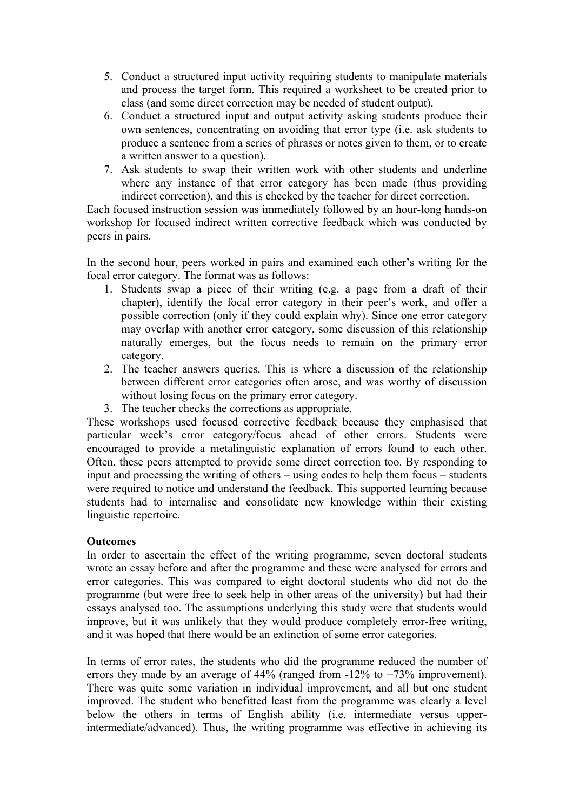- 5. Conduct a structured input activity requiring students to manipulate materials and process the target form. This required a worksheet to be created prior to class (and some direct correction may be needed of student output).
- 6. Conduct a structured input and output activity asking students produce their own sentences, concentrating on avoiding that error type (i.e. ask students to produce a sentence from a series of phrases or notes given to them, or to create a written answer to a question).
- 7. Ask students to swap their written work with other students and underline where any instance of that error category has been made (thus providing indirect correction), and this is checked by the teacher for direct correction.

Each focused instruction session was immediately followed by an hour-long hands-on workshop for focused indirect written corrective feedback which was conducted by peers in pairs.

In the second hour, peers worked in pairs and examined each other's writing for the focal error category. The format was as follows:

- 1. Students swap a piece of their writing (e.g. a page from a draft of their chapter), identify the focal error category in their peer's work, and offer a possible correction (only if they could explain why). Since one error category may overlap with another error category, some discussion of this relationship naturally emerges, but the focus needs to remain on the primary error category.
- 2. The teacher answers queries. This is where a discussion of the relationship between different error categories often arose, and was worthy of discussion without losing focus on the primary error category.
- 3. The teacher checks the corrections as appropriate.

These workshops used focused corrective feedback because they emphasised that particular week's error category/focus ahead of other errors. Students were encouraged to provide a metalinguistic explanation of errors found to each other. Often, these peers attempted to provide some direct correction too. By responding to input and processing the writing of others – using codes to help them focus – students were required to notice and understand the feedback. This supported learning because students had to internalise and consolidate new knowledge within their existing linguistic repertoire.

## **Outcomes**

In order to ascertain the effect of the writing programme, seven doctoral students wrote an essay before and after the programme and these were analysed for errors and error categories. This was compared to eight doctoral students who did not do the programme (but were free to seek help in other areas of the university) but had their essays analysed too. The assumptions underlying this study were that students would improve, but it was unlikely that they would produce completely error-free writing, and it was hoped that there would be an extinction of some error categories.

In terms of error rates, the students who did the programme reduced the number of errors they made by an average of 44% (ranged from -12% to +73% improvement). There was quite some variation in individual improvement, and all but one student improved. The student who benefitted least from the programme was clearly a level below the others in terms of English ability (i.e. intermediate versus upperintermediate/advanced). Thus, the writing programme was effective in achieving its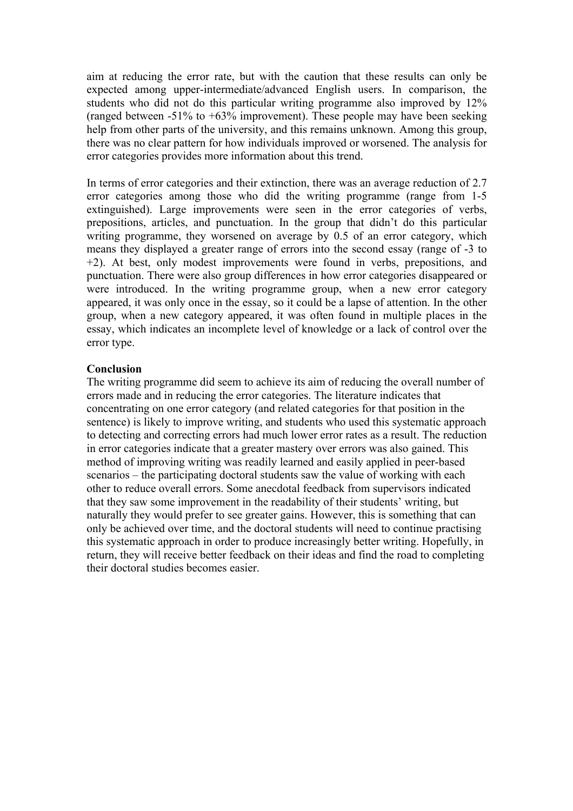aim at reducing the error rate, but with the caution that these results can only be expected among upper-intermediate/advanced English users. In comparison, the students who did not do this particular writing programme also improved by 12% (ranged between -51% to +63% improvement). These people may have been seeking help from other parts of the university, and this remains unknown. Among this group, there was no clear pattern for how individuals improved or worsened. The analysis for error categories provides more information about this trend.

In terms of error categories and their extinction, there was an average reduction of 2.7 error categories among those who did the writing programme (range from 1-5 extinguished). Large improvements were seen in the error categories of verbs, prepositions, articles, and punctuation. In the group that didn't do this particular writing programme, they worsened on average by 0.5 of an error category, which means they displayed a greater range of errors into the second essay (range of -3 to +2). At best, only modest improvements were found in verbs, prepositions, and punctuation. There were also group differences in how error categories disappeared or were introduced. In the writing programme group, when a new error category appeared, it was only once in the essay, so it could be a lapse of attention. In the other group, when a new category appeared, it was often found in multiple places in the essay, which indicates an incomplete level of knowledge or a lack of control over the error type.

## **Conclusion**

The writing programme did seem to achieve its aim of reducing the overall number of errors made and in reducing the error categories. The literature indicates that concentrating on one error category (and related categories for that position in the sentence) is likely to improve writing, and students who used this systematic approach to detecting and correcting errors had much lower error rates as a result. The reduction in error categories indicate that a greater mastery over errors was also gained. This method of improving writing was readily learned and easily applied in peer-based scenarios – the participating doctoral students saw the value of working with each other to reduce overall errors. Some anecdotal feedback from supervisors indicated that they saw some improvement in the readability of their students' writing, but naturally they would prefer to see greater gains. However, this is something that can only be achieved over time, and the doctoral students will need to continue practising this systematic approach in order to produce increasingly better writing. Hopefully, in return, they will receive better feedback on their ideas and find the road to completing their doctoral studies becomes easier.